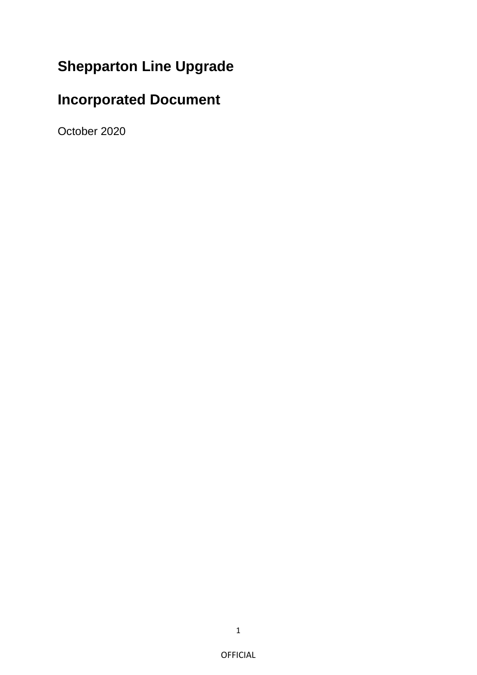## **Shepparton Line Upgrade**

# **Incorporated Document**

October 2020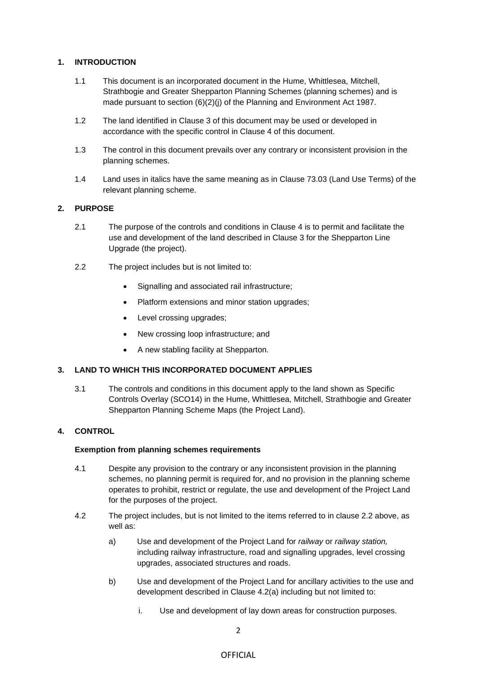## **1. INTRODUCTION**

- 1.1 This document is an incorporated document in the Hume, Whittlesea, Mitchell, Strathbogie and Greater Shepparton Planning Schemes (planning schemes) and is made pursuant to section (6)(2)(j) of the Planning and Environment Act 1987.
- 1.2 The land identified in Clause 3 of this document may be used or developed in accordance with the specific control in Clause 4 of this document.
- 1.3 The control in this document prevails over any contrary or inconsistent provision in the planning schemes.
- 1.4 Land uses in italics have the same meaning as in Clause 73.03 (Land Use Terms) of the relevant planning scheme.

## **2. PURPOSE**

- 2.1 The purpose of the controls and conditions in Clause 4 is to permit and facilitate the use and development of the land described in Clause 3 for the Shepparton Line Upgrade (the project).
- 2.2 The project includes but is not limited to:
	- Signalling and associated rail infrastructure;
	- Platform extensions and minor station upgrades;
	- Level crossing upgrades;
	- New crossing loop infrastructure; and
	- A new stabling facility at Shepparton.

## **3. LAND TO WHICH THIS INCORPORATED DOCUMENT APPLIES**

3.1 The controls and conditions in this document apply to the land shown as Specific Controls Overlay (SCO14) in the Hume, Whittlesea, Mitchell, Strathbogie and Greater Shepparton Planning Scheme Maps (the Project Land).

## **4. CONTROL**

#### **Exemption from planning schemes requirements**

- 4.1 Despite any provision to the contrary or any inconsistent provision in the planning schemes, no planning permit is required for, and no provision in the planning scheme operates to prohibit, restrict or regulate, the use and development of the Project Land for the purposes of the project.
- 4.2 The project includes, but is not limited to the items referred to in clause 2.2 above, as well as:
	- a) Use and development of the Project Land for *railway* or *railway station,*  including railway infrastructure, road and signalling upgrades, level crossing upgrades, associated structures and roads.
	- b) Use and development of the Project Land for ancillary activities to the use and development described in Clause 4.2(a) including but not limited to:
		- i. Use and development of lay down areas for construction purposes.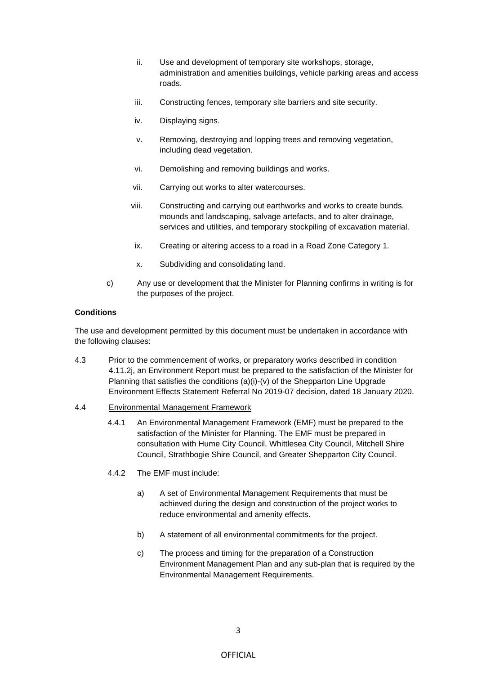- ii. Use and development of temporary site workshops, storage, administration and amenities buildings, vehicle parking areas and access roads.
- iii. Constructing fences, temporary site barriers and site security.
- iv. Displaying signs.
- v. Removing, destroying and lopping trees and removing vegetation, including dead vegetation.
- vi. Demolishing and removing buildings and works.
- vii. Carrying out works to alter watercourses.
- viii. Constructing and carrying out earthworks and works to create bunds, mounds and landscaping, salvage artefacts, and to alter drainage, services and utilities, and temporary stockpiling of excavation material.
- ix. Creating or altering access to a road in a Road Zone Category 1.
- x. Subdividing and consolidating land.
- c) Any use or development that the Minister for Planning confirms in writing is for the purposes of the project.

#### **Conditions**

The use and development permitted by this document must be undertaken in accordance with the following clauses:

- 4.3 Prior to the commencement of works, or preparatory works described in condition 4.11.2j, an Environment Report must be prepared to the satisfaction of the Minister for Planning that satisfies the conditions (a)(i)-(v) of the Shepparton Line Upgrade Environment Effects Statement Referral No 2019-07 decision, dated 18 January 2020.
- 4.4 Environmental Management Framework
	- 4.4.1 An Environmental Management Framework (EMF) must be prepared to the satisfaction of the Minister for Planning. The EMF must be prepared in consultation with Hume City Council, Whittlesea City Council, Mitchell Shire Council, Strathbogie Shire Council, and Greater Shepparton City Council.
	- 4.4.2 The EMF must include:
		- a) A set of Environmental Management Requirements that must be achieved during the design and construction of the project works to reduce environmental and amenity effects.
		- b) A statement of all environmental commitments for the project.
		- c) The process and timing for the preparation of a Construction Environment Management Plan and any sub-plan that is required by the Environmental Management Requirements.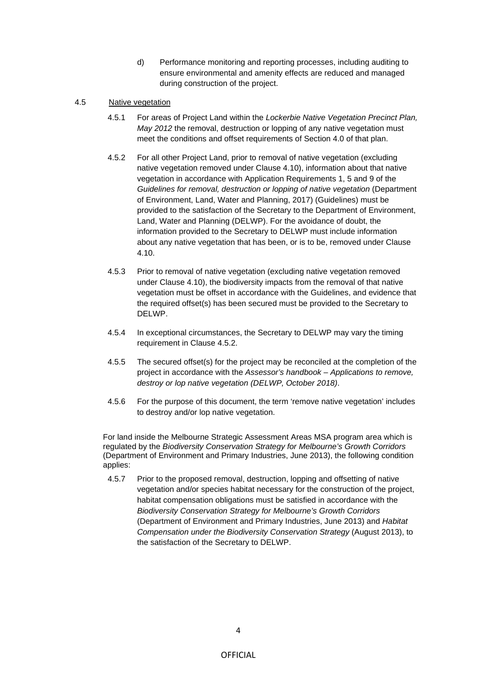d) Performance monitoring and reporting processes, including auditing to ensure environmental and amenity effects are reduced and managed during construction of the project.

## 4.5 Native vegetation

- 4.5.1 For areas of Project Land within the *Lockerbie Native Vegetation Precinct Plan, May 2012* the removal, destruction or lopping of any native vegetation must meet the conditions and offset requirements of Section 4.0 of that plan.
- 4.5.2 For all other Project Land, prior to removal of native vegetation (excluding native vegetation removed under Clause 4.10), information about that native vegetation in accordance with Application Requirements 1, 5 and 9 of the *Guidelines for removal, destruction or lopping of native vegetation* (Department of Environment, Land, Water and Planning, 2017) (Guidelines) must be provided to the satisfaction of the Secretary to the Department of Environment, Land, Water and Planning (DELWP). For the avoidance of doubt, the information provided to the Secretary to DELWP must include information about any native vegetation that has been, or is to be, removed under Clause 4.10.
- 4.5.3 Prior to removal of native vegetation (excluding native vegetation removed under Clause 4.10), the biodiversity impacts from the removal of that native vegetation must be offset in accordance with the Guidelines, and evidence that the required offset(s) has been secured must be provided to the Secretary to DELWP.
- 4.5.4 In exceptional circumstances, the Secretary to DELWP may vary the timing requirement in Clause 4.5.2.
- 4.5.5 The secured offset(s) for the project may be reconciled at the completion of the project in accordance with the *Assessor's handbook – Applications to remove, destroy or lop native vegetation (DELWP, October 2018)*.
- 4.5.6 For the purpose of this document, the term 'remove native vegetation' includes to destroy and/or lop native vegetation.

For land inside the Melbourne Strategic Assessment Areas MSA program area which is regulated by the *Biodiversity Conservation Strategy for Melbourne's Growth Corridors*  (Department of Environment and Primary Industries, June 2013), the following condition applies:

4.5.7 Prior to the proposed removal, destruction, lopping and offsetting of native vegetation and/or species habitat necessary for the construction of the project, habitat compensation obligations must be satisfied in accordance with the *Biodiversity Conservation Strategy for Melbourne's Growth Corridors* (Department of Environment and Primary Industries, June 2013) and *Habitat Compensation under the Biodiversity Conservation Strategy* (August 2013), to the satisfaction of the Secretary to DELWP.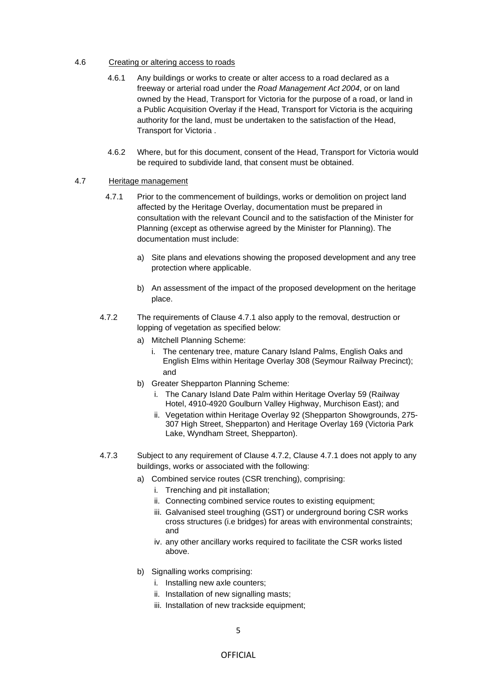#### 4.6 Creating or altering access to roads

- 4.6.1 Any buildings or works to create or alter access to a road declared as a freeway or arterial road under the *Road Management Act 2004*, or on land owned by the Head, Transport for Victoria for the purpose of a road, or land in a Public Acquisition Overlay if the Head, Transport for Victoria is the acquiring authority for the land, must be undertaken to the satisfaction of the Head, Transport for Victoria .
- 4.6.2 Where, but for this document, consent of the Head, Transport for Victoria would be required to subdivide land, that consent must be obtained.

## 4.7 Heritage management

- 4.7.1 Prior to the commencement of buildings, works or demolition on project land affected by the Heritage Overlay, documentation must be prepared in consultation with the relevant Council and to the satisfaction of the Minister for Planning (except as otherwise agreed by the Minister for Planning). The documentation must include:
	- a) Site plans and elevations showing the proposed development and any tree protection where applicable.
	- b) An assessment of the impact of the proposed development on the heritage place.
- 4.7.2 The requirements of Clause 4.7.1 also apply to the removal, destruction or lopping of vegetation as specified below:
	- a) Mitchell Planning Scheme:
		- i. The centenary tree, mature Canary Island Palms, English Oaks and English Elms within Heritage Overlay 308 (Seymour Railway Precinct); and
	- b) Greater Shepparton Planning Scheme:
		- i. The Canary Island Date Palm within Heritage Overlay 59 (Railway Hotel, 4910-4920 Goulburn Valley Highway, Murchison East); and
		- ii. Vegetation within Heritage Overlay 92 (Shepparton Showgrounds, 275- 307 High Street, Shepparton) and Heritage Overlay 169 (Victoria Park Lake, Wyndham Street, Shepparton).
- 4.7.3 Subject to any requirement of Clause 4.7.2, Clause 4.7.1 does not apply to any buildings, works or associated with the following:
	- a) Combined service routes (CSR trenching), comprising:
		- i. Trenching and pit installation;
		- ii. Connecting combined service routes to existing equipment;
		- iii. Galvanised steel troughing (GST) or underground boring CSR works cross structures (i.e bridges) for areas with environmental constraints; and
		- iv. any other ancillary works required to facilitate the CSR works listed above.
	- b) Signalling works comprising:
		- i. Installing new axle counters;
		- ii. Installation of new signalling masts;
		- iii. Installation of new trackside equipment;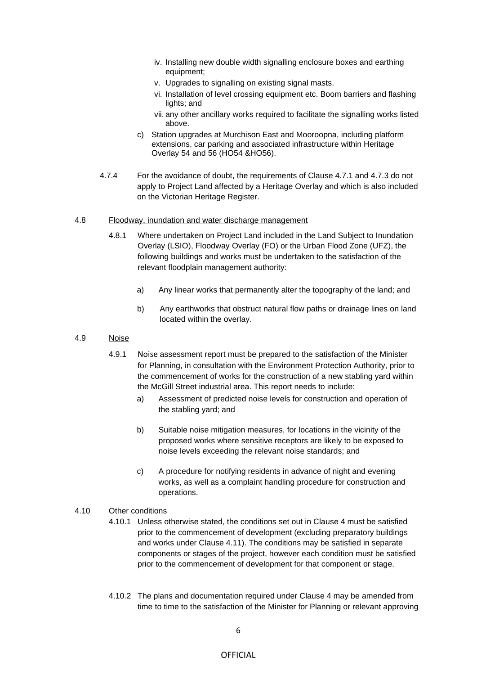- iv. Installing new double width signalling enclosure boxes and earthing equipment;
- v. Upgrades to signalling on existing signal masts.
- vi. Installation of level crossing equipment etc. Boom barriers and flashing lights; and
- vii. any other ancillary works required to facilitate the signalling works listed above.
- c) Station upgrades at Murchison East and Mooroopna, including platform extensions, car parking and associated infrastructure within Heritage Overlay 54 and 56 (HO54 &HO56).
- 4.7.4 For the avoidance of doubt, the requirements of Clause 4.7.1 and 4.7.3 do not apply to Project Land affected by a Heritage Overlay and which is also included on the Victorian Heritage Register.

#### 4.8 Floodway, inundation and water discharge management

- 4.8.1 Where undertaken on Project Land included in the Land Subject to Inundation Overlay (LSIO), Floodway Overlay (FO) or the Urban Flood Zone (UFZ), the following buildings and works must be undertaken to the satisfaction of the relevant floodplain management authority:
	- a) Any linear works that permanently alter the topography of the land; and
	- b) Any earthworks that obstruct natural flow paths or drainage lines on land located within the overlay.

#### 4.9 Noise

- 4.9.1 Noise assessment report must be prepared to the satisfaction of the Minister for Planning, in consultation with the Environment Protection Authority, prior to the commencement of works for the construction of a new stabling yard within the McGill Street industrial area. This report needs to include:
	- a) Assessment of predicted noise levels for construction and operation of the stabling yard; and
	- b) Suitable noise mitigation measures, for locations in the vicinity of the proposed works where sensitive receptors are likely to be exposed to noise levels exceeding the relevant noise standards; and
	- c) A procedure for notifying residents in advance of night and evening works, as well as a complaint handling procedure for construction and operations.

## 4.10 Other conditions

- 4.10.1 Unless otherwise stated, the conditions set out in Clause 4 must be satisfied prior to the commencement of development (excluding preparatory buildings and works under Clause 4.11). The conditions may be satisfied in separate components or stages of the project, however each condition must be satisfied prior to the commencement of development for that component or stage.
- 4.10.2 The plans and documentation required under Clause 4 may be amended from time to time to the satisfaction of the Minister for Planning or relevant approving

## OFFICIAL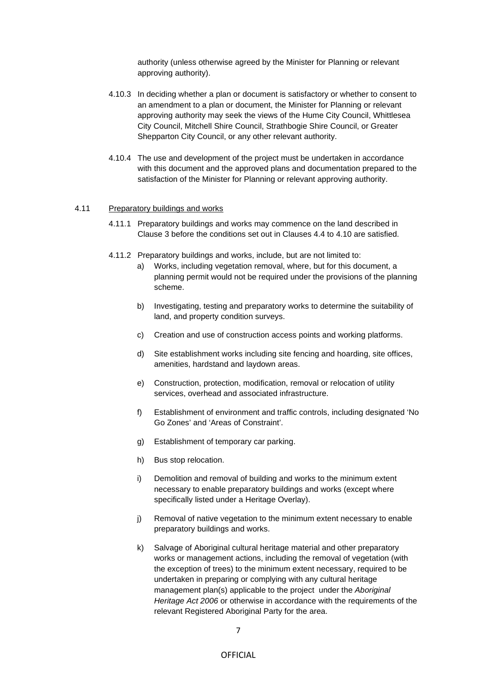authority (unless otherwise agreed by the Minister for Planning or relevant approving authority).

- 4.10.3 In deciding whether a plan or document is satisfactory or whether to consent to an amendment to a plan or document, the Minister for Planning or relevant approving authority may seek the views of the Hume City Council, Whittlesea City Council, Mitchell Shire Council, Strathbogie Shire Council, or Greater Shepparton City Council, or any other relevant authority.
- 4.10.4 The use and development of the project must be undertaken in accordance with this document and the approved plans and documentation prepared to the satisfaction of the Minister for Planning or relevant approving authority.

#### 4.11 Preparatory buildings and works

- 4.11.1 Preparatory buildings and works may commence on the land described in Clause 3 before the conditions set out in Clauses 4.4 to 4.10 are satisfied.
- 4.11.2 Preparatory buildings and works, include, but are not limited to:
	- a) Works, including vegetation removal, where, but for this document, a planning permit would not be required under the provisions of the planning scheme.
	- b) Investigating, testing and preparatory works to determine the suitability of land, and property condition surveys.
	- c) Creation and use of construction access points and working platforms.
	- d) Site establishment works including site fencing and hoarding, site offices, amenities, hardstand and laydown areas.
	- e) Construction, protection, modification, removal or relocation of utility services, overhead and associated infrastructure.
	- f) Establishment of environment and traffic controls, including designated 'No Go Zones' and 'Areas of Constraint'.
	- g) Establishment of temporary car parking.
	- h) Bus stop relocation.
	- i) Demolition and removal of building and works to the minimum extent necessary to enable preparatory buildings and works (except where specifically listed under a Heritage Overlay).
	- j) Removal of native vegetation to the minimum extent necessary to enable preparatory buildings and works.
	- k) Salvage of Aboriginal cultural heritage material and other preparatory works or management actions, including the removal of vegetation (with the exception of trees) to the minimum extent necessary, required to be undertaken in preparing or complying with any cultural heritage management plan(s) applicable to the project under the *Aboriginal Heritage Act 2006* or otherwise in accordance with the requirements of the relevant Registered Aboriginal Party for the area.